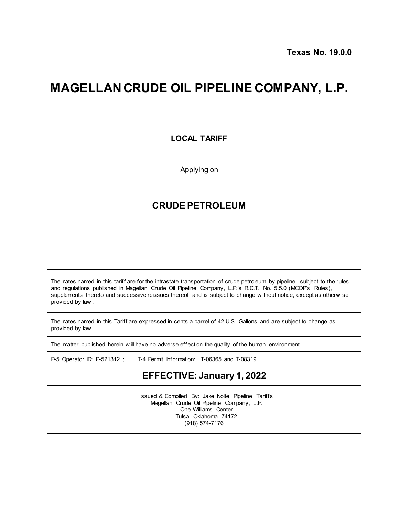## **MAGELLAN CRUDE OIL PIPELINE COMPANY, L.P.**

**LOCAL TARIFF**

Applying on

## **CRUDE PETROLEUM**

The rates named in this tariff are for the intrastate transportation of crude petroleum by pipeline, subject to the rules and regulations published in Magellan Crude Oil Pipeline Company, L.P.'s R.C.T. No. 5.5.0 (MCOP's Rules), supplements thereto and successive reissues thereof, and is subject to change w ithout notice, except as otherw ise provided by law .

The rates named in this Tariff are expressed in cents a barrel of 42 U.S. Gallons and are subject to change as provided by law .

The matter published herein w ill have no adverse effect on the quality of the human environment.

P-5 Operator ID: P-521312 ; T-4 Permit Information: T-06365 and T-08319.

## **EFFECTIVE: January 1, 2022**

Issued & Compiled By: Jake Nolte, Pipeline Tariffs Magellan Crude Oil Pipeline Company, L.P. One Williams Center Tulsa, Oklahoma 74172 (918) 574-7176